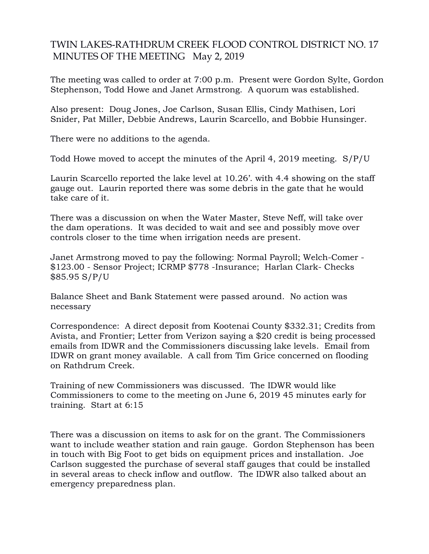## TWIN LAKES-RATHDRUM CREEK FLOOD CONTROL DISTRICT NO. 17 MINUTES OF THE MEETING May 2, 2019

The meeting was called to order at 7:00 p.m. Present were Gordon Sylte, Gordon Stephenson, Todd Howe and Janet Armstrong. A quorum was established.

Also present: Doug Jones, Joe Carlson, Susan Ellis, Cindy Mathisen, Lori Snider, Pat Miller, Debbie Andrews, Laurin Scarcello, and Bobbie Hunsinger.

There were no additions to the agenda.

Todd Howe moved to accept the minutes of the April 4, 2019 meeting. S/P/U

Laurin Scarcello reported the lake level at 10.26'. with 4.4 showing on the staff gauge out. Laurin reported there was some debris in the gate that he would take care of it.

There was a discussion on when the Water Master, Steve Neff, will take over the dam operations. It was decided to wait and see and possibly move over controls closer to the time when irrigation needs are present.

Janet Armstrong moved to pay the following: Normal Payroll; Welch-Comer - \$123.00 - Sensor Project; ICRMP \$778 -Insurance; Harlan Clark- Checks \$85.95 S/P/U

Balance Sheet and Bank Statement were passed around. No action was necessary

Correspondence: A direct deposit from Kootenai County \$332.31; Credits from Avista, and Frontier; Letter from Verizon saying a \$20 credit is being processed emails from IDWR and the Commissioners discussing lake levels. Email from IDWR on grant money available. A call from Tim Grice concerned on flooding on Rathdrum Creek.

Training of new Commissioners was discussed. The IDWR would like Commissioners to come to the meeting on June 6, 2019 45 minutes early for training. Start at 6:15

There was a discussion on items to ask for on the grant. The Commissioners want to include weather station and rain gauge. Gordon Stephenson has been in touch with Big Foot to get bids on equipment prices and installation. Joe Carlson suggested the purchase of several staff gauges that could be installed in several areas to check inflow and outflow. The IDWR also talked about an emergency preparedness plan.